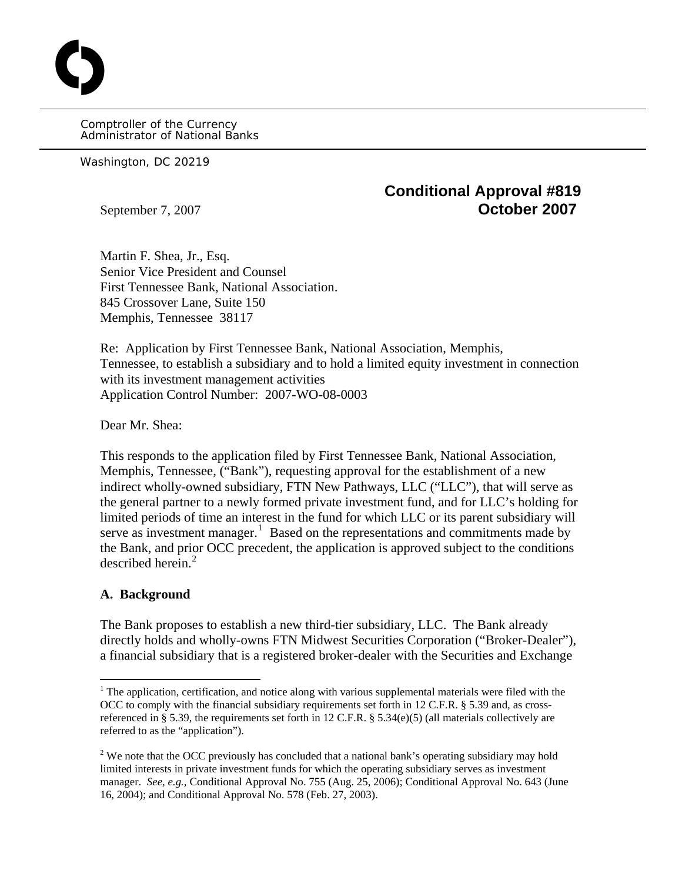Comptroller of the Currency Administrator of National Banks

Washington, DC 20219

O

## **Conditional Approval #819**  September 7, 2007 **October 2007**

Martin F. Shea, Jr., Esq. Senior Vice President and Counsel First Tennessee Bank, National Association. 845 Crossover Lane, Suite 150 Memphis, Tennessee 38117

Re: Application by First Tennessee Bank, National Association, Memphis, Tennessee, to establish a subsidiary and to hold a limited equity investment in connection with its investment management activities Application Control Number: 2007-WO-08-0003

Dear Mr. Shea:

This responds to the application filed by First Tennessee Bank, National Association, Memphis, Tennessee, ("Bank"), requesting approval for the establishment of a new indirect wholly-owned subsidiary, FTN New Pathways, LLC ("LLC"), that will serve as the general partner to a newly formed private investment fund, and for LLC's holding for limited periods of time an interest in the fund for which LLC or its parent subsidiary will serve as investment manager.<sup>[1](#page-0-0)</sup> Based on the representations and commitments made by the Bank, and prior OCC precedent, the application is approved subject to the conditions described herein.<sup>[2](#page-0-1)</sup>

## **A. Background**

 $\overline{a}$ 

The Bank proposes to establish a new third-tier subsidiary, LLC. The Bank already directly holds and wholly-owns FTN Midwest Securities Corporation ("Broker-Dealer"), a financial subsidiary that is a registered broker-dealer with the Securities and Exchange

<span id="page-0-0"></span> $1$ <sup>1</sup> The application, certification, and notice along with various supplemental materials were filed with the OCC to comply with the financial subsidiary requirements set forth in 12 C.F.R. § 5.39 and, as crossreferenced in § 5.39, the requirements set forth in 12 C.F.R. § 5.34(e)(5) (all materials collectively are referred to as the "application").

<span id="page-0-1"></span><sup>&</sup>lt;sup>2</sup> We note that the OCC previously has concluded that a national bank's operating subsidiary may hold limited interests in private investment funds for which the operating subsidiary serves as investment manager. *See, e.g.,* Conditional Approval No. 755 (Aug. 25, 2006); Conditional Approval No. 643 (June 16, 2004); and Conditional Approval No. 578 (Feb. 27, 2003).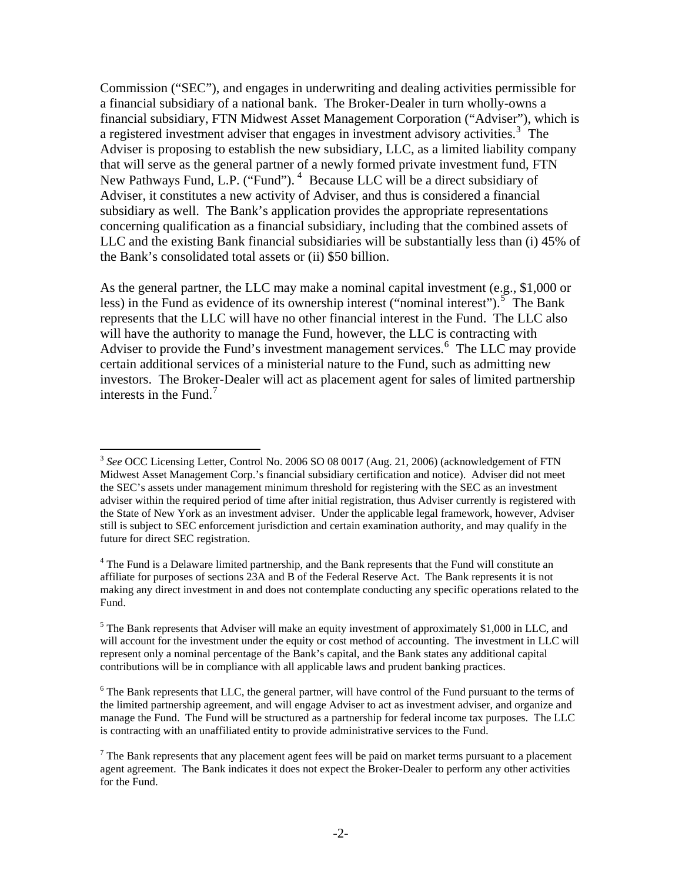Commission ("SEC"), and engages in underwriting and dealing activities permissible for a financial subsidiary of a national bank. The Broker-Dealer in turn wholly-owns a financial subsidiary, FTN Midwest Asset Management Corporation ("Adviser"), which is a registered investment adviser that engages in investment advisory activities.<sup>[3](#page-1-0)</sup> The Adviser is proposing to establish the new subsidiary, LLC, as a limited liability company that will serve as the general partner of a newly formed private investment fund, FTN New Pathways Fund, L.P. ("Fund").<sup>[4](#page-1-1)</sup> Because LLC will be a direct subsidiary of Adviser, it constitutes a new activity of Adviser, and thus is considered a financial subsidiary as well. The Bank's application provides the appropriate representations concerning qualification as a financial subsidiary, including that the combined assets of LLC and the existing Bank financial subsidiaries will be substantially less than (i) 45% of the Bank's consolidated total assets or (ii) \$50 billion.

As the general partner, the LLC may make a nominal capital investment (e.g., \$1,000 or less) in the Fund as evidence of its ownership interest ("nominal interest").<sup>[5](#page-1-2)</sup> The Bank represents that the LLC will have no other financial interest in the Fund. The LLC also will have the authority to manage the Fund, however, the LLC is contracting with Adviser to provide the Fund's investment management services.<sup>[6](#page-1-3)</sup> The LLC may provide certain additional services of a ministerial nature to the Fund, such as admitting new investors. The Broker-Dealer will act as placement agent for sales of limited partnership interests in the Fund.<sup>[7](#page-1-4)</sup>

 $\overline{a}$ 

<span id="page-1-0"></span><sup>3</sup> *See* OCC Licensing Letter, Control No. 2006 SO 08 0017 (Aug. 21, 2006) (acknowledgement of FTN Midwest Asset Management Corp.'s financial subsidiary certification and notice). Adviser did not meet the SEC's assets under management minimum threshold for registering with the SEC as an investment adviser within the required period of time after initial registration, thus Adviser currently is registered with the State of New York as an investment adviser. Under the applicable legal framework, however, Adviser still is subject to SEC enforcement jurisdiction and certain examination authority, and may qualify in the future for direct SEC registration.

<span id="page-1-1"></span><sup>&</sup>lt;sup>4</sup> The Fund is a Delaware limited partnership, and the Bank represents that the Fund will constitute an affiliate for purposes of sections 23A and B of the Federal Reserve Act. The Bank represents it is not making any direct investment in and does not contemplate conducting any specific operations related to the Fund.

<span id="page-1-2"></span><sup>&</sup>lt;sup>5</sup> The Bank represents that Adviser will make an equity investment of approximately \$1,000 in LLC, and will account for the investment under the equity or cost method of accounting.The investment in LLC will represent only a nominal percentage of the Bank's capital, and the Bank states any additional capital contributions will be in compliance with all applicable laws and prudent banking practices.

<span id="page-1-3"></span><sup>&</sup>lt;sup>6</sup> The Bank represents that LLC, the general partner, will have control of the Fund pursuant to the terms of the limited partnership agreement, and will engage Adviser to act as investment adviser, and organize and manage the Fund. The Fund will be structured as a partnership for federal income tax purposes. The LLC is contracting with an unaffiliated entity to provide administrative services to the Fund.

<span id="page-1-4"></span> $<sup>7</sup>$  The Bank represents that any placement agent fees will be paid on market terms pursuant to a placement</sup> agent agreement. The Bank indicates it does not expect the Broker-Dealer to perform any other activities for the Fund.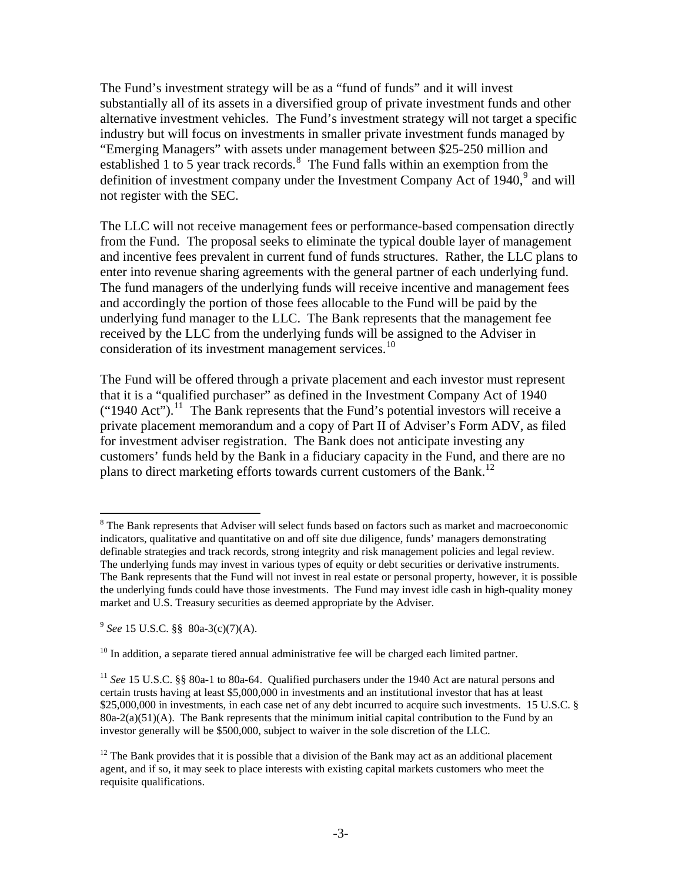The Fund's investment strategy will be as a "fund of funds" and it will invest substantially all of its assets in a diversified group of private investment funds and other alternative investment vehicles. The Fund's investment strategy will not target a specific industry but will focus on investments in smaller private investment funds managed by "Emerging Managers" with assets under management between \$25-250 million and established 1 to 5 year track records. $8\text{ The Fund falls within an exception from the}$  $8\text{ The Fund falls within an exception from the}$ definition of investment company under the Investment Company Act of 1[9](#page-2-1)40, $9$  and will not register with the SEC.

The LLC will not receive management fees or performance-based compensation directly from the Fund. The proposal seeks to eliminate the typical double layer of management and incentive fees prevalent in current fund of funds structures. Rather, the LLC plans to enter into revenue sharing agreements with the general partner of each underlying fund. The fund managers of the underlying funds will receive incentive and management fees and accordingly the portion of those fees allocable to the Fund will be paid by the underlying fund manager to the LLC. The Bank represents that the management fee received by the LLC from the underlying funds will be assigned to the Adviser in consideration of its investment management services.<sup>[10](#page-2-2)</sup>

The Fund will be offered through a private placement and each investor must represent that it is a "qualified purchaser" as defined in the Investment Company Act of 1940  $("1940 \text{ Act}").$ <sup>[11](#page-2-3)</sup> The Bank represents that the Fund's potential investors will receive a private placement memorandum and a copy of Part II of Adviser's Form ADV, as filed for investment adviser registration. The Bank does not anticipate investing any customers' funds held by the Bank in a fiduciary capacity in the Fund, and there are no plans to direct marketing efforts towards current customers of the Bank.<sup>[12](#page-2-4)</sup>

 $\overline{a}$ 

<span id="page-2-0"></span><sup>&</sup>lt;sup>8</sup> The Bank represents that Adviser will select funds based on factors such as market and macroeconomic indicators, qualitative and quantitative on and off site due diligence, funds' managers demonstrating definable strategies and track records, strong integrity and risk management policies and legal review. The underlying funds may invest in various types of equity or debt securities or derivative instruments. The Bank represents that the Fund will not invest in real estate or personal property, however, it is possible the underlying funds could have those investments. The Fund may invest idle cash in high-quality money market and U.S. Treasury securities as deemed appropriate by the Adviser.

<span id="page-2-1"></span><sup>9</sup> *See* 15 U.S.C. §§ 80a-3(c)(7)(A).

<span id="page-2-2"></span> $10$  In addition, a separate tiered annual administrative fee will be charged each limited partner.

<span id="page-2-3"></span><sup>&</sup>lt;sup>11</sup> *See* 15 U.S.C. §§ 80a-1 to 80a-64. Qualified purchasers under the 1940 Act are natural persons and certain trusts having at least \$5,000,000 in investments and an institutional investor that has at least \$25,000,000 in investments, in each case net of any debt incurred to acquire such investments. 15 U.S.C. §  $80a-2(a)(51)(A)$ . The Bank represents that the minimum initial capital contribution to the Fund by an investor generally will be \$500,000, subject to waiver in the sole discretion of the LLC.

<span id="page-2-4"></span> $12$  The Bank provides that it is possible that a division of the Bank may act as an additional placement agent, and if so, it may seek to place interests with existing capital markets customers who meet the requisite qualifications.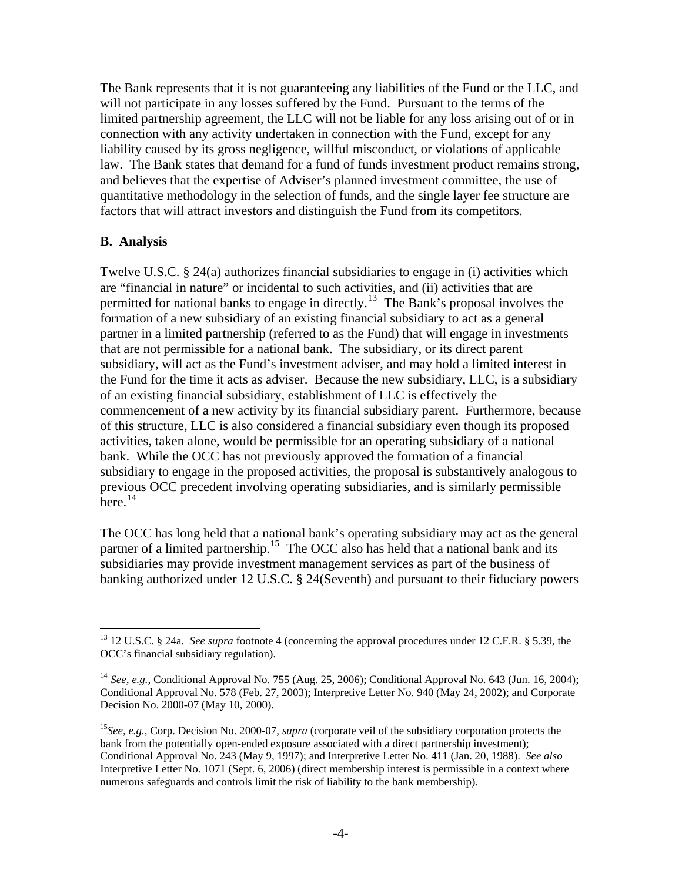The Bank represents that it is not guaranteeing any liabilities of the Fund or the LLC, and will not participate in any losses suffered by the Fund. Pursuant to the terms of the limited partnership agreement, the LLC will not be liable for any loss arising out of or in connection with any activity undertaken in connection with the Fund, except for any liability caused by its gross negligence, willful misconduct, or violations of applicable law. The Bank states that demand for a fund of funds investment product remains strong, and believes that the expertise of Adviser's planned investment committee, the use of quantitative methodology in the selection of funds, and the single layer fee structure are factors that will attract investors and distinguish the Fund from its competitors.

## **B. Analysis**

 $\overline{a}$ 

Twelve U.S.C. § 24(a) authorizes financial subsidiaries to engage in (i) activities which are "financial in nature" or incidental to such activities, and (ii) activities that are permitted for national banks to engage in directly.<sup>[13](#page-3-0)</sup> The Bank's proposal involves the formation of a new subsidiary of an existing financial subsidiary to act as a general partner in a limited partnership (referred to as the Fund) that will engage in investments that are not permissible for a national bank. The subsidiary, or its direct parent subsidiary, will act as the Fund's investment adviser, and may hold a limited interest in the Fund for the time it acts as adviser. Because the new subsidiary, LLC, is a subsidiary of an existing financial subsidiary, establishment of LLC is effectively the commencement of a new activity by its financial subsidiary parent. Furthermore, because of this structure, LLC is also considered a financial subsidiary even though its proposed activities, taken alone, would be permissible for an operating subsidiary of a national bank. While the OCC has not previously approved the formation of a financial subsidiary to engage in the proposed activities, the proposal is substantively analogous to previous OCC precedent involving operating subsidiaries, and is similarly permissible  $here.$ <sup>[14](#page-3-1)</sup>

The OCC has long held that a national bank's operating subsidiary may act as the general partner of a limited partnership.<sup>[15](#page-3-2)</sup> The OCC also has held that a national bank and its subsidiaries may provide investment management services as part of the business of banking authorized under 12 U.S.C. § 24(Seventh) and pursuant to their fiduciary powers

<span id="page-3-0"></span><sup>13 12</sup> U.S.C. § 24a. *See supra* footnote 4 (concerning the approval procedures under 12 C.F.R. § 5.39, the OCC's financial subsidiary regulation).

<span id="page-3-1"></span><sup>14</sup> *See, e.g.,* Conditional Approval No. 755 (Aug. 25, 2006); Conditional Approval No. 643 (Jun. 16, 2004); Conditional Approval No. 578 (Feb. 27, 2003); Interpretive Letter No. 940 (May 24, 2002); and Corporate Decision No. 2000-07 (May 10, 2000).

<span id="page-3-2"></span><sup>&</sup>lt;sup>15</sup>See, e.g., Corp. Decision No. 2000-07, *supra* (corporate veil of the subsidiary corporation protects the bank from the potentially open-ended exposure associated with a direct partnership investment); Conditional Approval No. 243 (May 9, 1997); and Interpretive Letter No. 411 (Jan. 20, 1988). *See also*  Interpretive Letter No. 1071 (Sept. 6, 2006) (direct membership interest is permissible in a context where numerous safeguards and controls limit the risk of liability to the bank membership).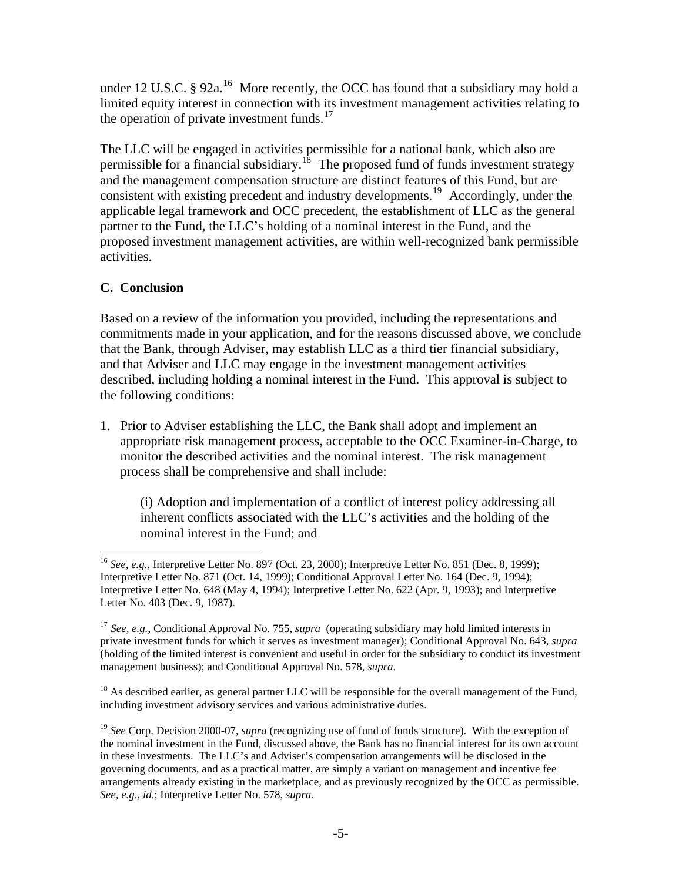under 12 U.S.C. § 92a.<sup>[16](#page-4-0)</sup> More recently, the OCC has found that a subsidiary may hold a limited equity interest in connection with its investment management activities relating to the operation of private investment funds. $17$ 

The LLC will be engaged in activities permissible for a national bank, which also are permissible for a financial subsidiary.<sup>[18](#page-4-2)</sup> The proposed fund of funds investment strategy and the management compensation structure are distinct features of this Fund, but are consistent with existing precedent and industry developments.<sup>[19](#page-4-3)</sup> Accordingly, under the applicable legal framework and OCC precedent, the establishment of LLC as the general partner to the Fund, the LLC's holding of a nominal interest in the Fund, and the proposed investment management activities, are within well-recognized bank permissible activities.

## **C. Conclusion**

Based on a review of the information you provided, including the representations and commitments made in your application, and for the reasons discussed above, we conclude that the Bank, through Adviser, may establish LLC as a third tier financial subsidiary, and that Adviser and LLC may engage in the investment management activities described, including holding a nominal interest in the Fund. This approval is subject to the following conditions:

1. Prior to Adviser establishing the LLC, the Bank shall adopt and implement an appropriate risk management process, acceptable to the OCC Examiner-in-Charge, to monitor the described activities and the nominal interest. The risk management process shall be comprehensive and shall include:

(i) Adoption and implementation of a conflict of interest policy addressing all inherent conflicts associated with the LLC's activities and the holding of the nominal interest in the Fund; and

<span id="page-4-2"></span> $18$  As described earlier, as general partner LLC will be responsible for the overall management of the Fund, including investment advisory services and various administrative duties.

<span id="page-4-0"></span> $\overline{a}$ <sup>16</sup> *See, e.g.,* Interpretive Letter No. 897 (Oct. 23, 2000); Interpretive Letter No. 851 (Dec. 8, 1999); Interpretive Letter No. 871 (Oct. 14, 1999); Conditional Approval Letter No. 164 (Dec. 9, 1994); Interpretive Letter No. 648 (May 4, 1994); Interpretive Letter No. 622 (Apr. 9, 1993); and Interpretive Letter No. 403 (Dec. 9, 1987).

<span id="page-4-1"></span><sup>17</sup> *See, e.g.,* Conditional Approval No. 755, *supra* (operating subsidiary may hold limited interests in private investment funds for which it serves as investment manager); Conditional Approval No. 643, *supra* (holding of the limited interest is convenient and useful in order for the subsidiary to conduct its investment management business); and Conditional Approval No. 578, *supra*.

<span id="page-4-3"></span><sup>&</sup>lt;sup>19</sup> *See* Corp. Decision 2000-07, *supra* (recognizing use of fund of funds structure). With the exception of the nominal investment in the Fund, discussed above, the Bank has no financial interest for its own account in these investments. The LLC's and Adviser's compensation arrangements will be disclosed in the governing documents, and as a practical matter, are simply a variant on management and incentive fee arrangements already existing in the marketplace, and as previously recognized by the OCC as permissible. *See, e.g., id.*; Interpretive Letter No. 578, *supra.*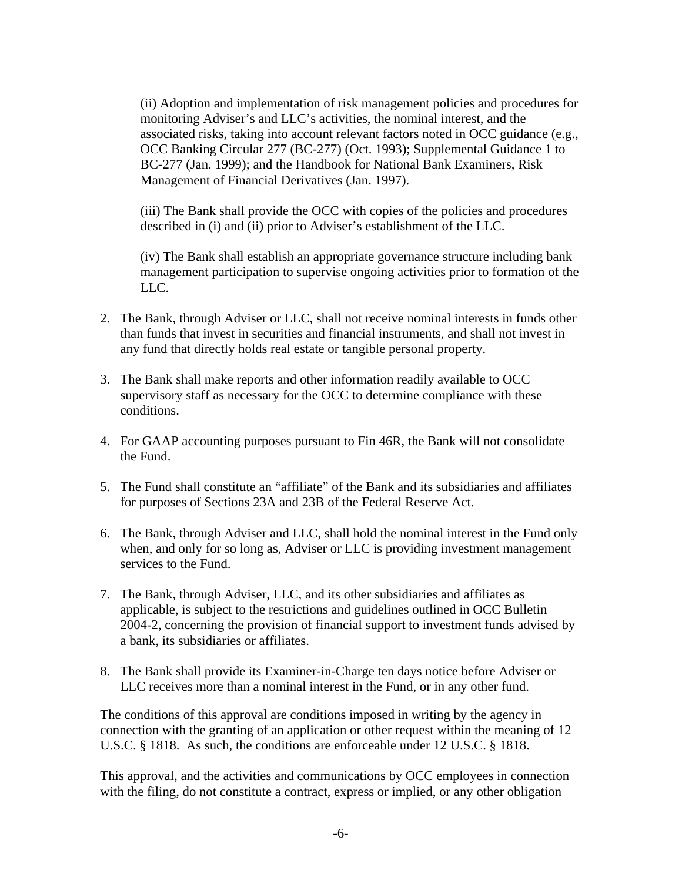(ii) Adoption and implementation of risk management policies and procedures for monitoring Adviser's and LLC's activities, the nominal interest, and the associated risks, taking into account relevant factors noted in OCC guidance (e.g., OCC Banking Circular 277 (BC-277) (Oct. 1993); Supplemental Guidance 1 to BC-277 (Jan. 1999); and the Handbook for National Bank Examiners, Risk Management of Financial Derivatives (Jan. 1997).

(iii) The Bank shall provide the OCC with copies of the policies and procedures described in (i) and (ii) prior to Adviser's establishment of the LLC.

(iv) The Bank shall establish an appropriate governance structure including bank management participation to supervise ongoing activities prior to formation of the LLC.

- 2. The Bank, through Adviser or LLC, shall not receive nominal interests in funds other than funds that invest in securities and financial instruments, and shall not invest in any fund that directly holds real estate or tangible personal property.
- 3. The Bank shall make reports and other information readily available to OCC supervisory staff as necessary for the OCC to determine compliance with these conditions.
- 4. For GAAP accounting purposes pursuant to Fin 46R, the Bank will not consolidate the Fund.
- 5. The Fund shall constitute an "affiliate" of the Bank and its subsidiaries and affiliates for purposes of Sections 23A and 23B of the Federal Reserve Act.
- 6. The Bank, through Adviser and LLC, shall hold the nominal interest in the Fund only when, and only for so long as, Adviser or LLC is providing investment management services to the Fund.
- 7. The Bank, through Adviser, LLC, and its other subsidiaries and affiliates as applicable, is subject to the restrictions and guidelines outlined in OCC Bulletin 2004-2, concerning the provision of financial support to investment funds advised by a bank, its subsidiaries or affiliates.
- 8. The Bank shall provide its Examiner-in-Charge ten days notice before Adviser or LLC receives more than a nominal interest in the Fund, or in any other fund.

The conditions of this approval are conditions imposed in writing by the agency in connection with the granting of an application or other request within the meaning of 12 U.S.C. § 1818. As such, the conditions are enforceable under 12 U.S.C. § 1818.

This approval, and the activities and communications by OCC employees in connection with the filing, do not constitute a contract, express or implied, or any other obligation